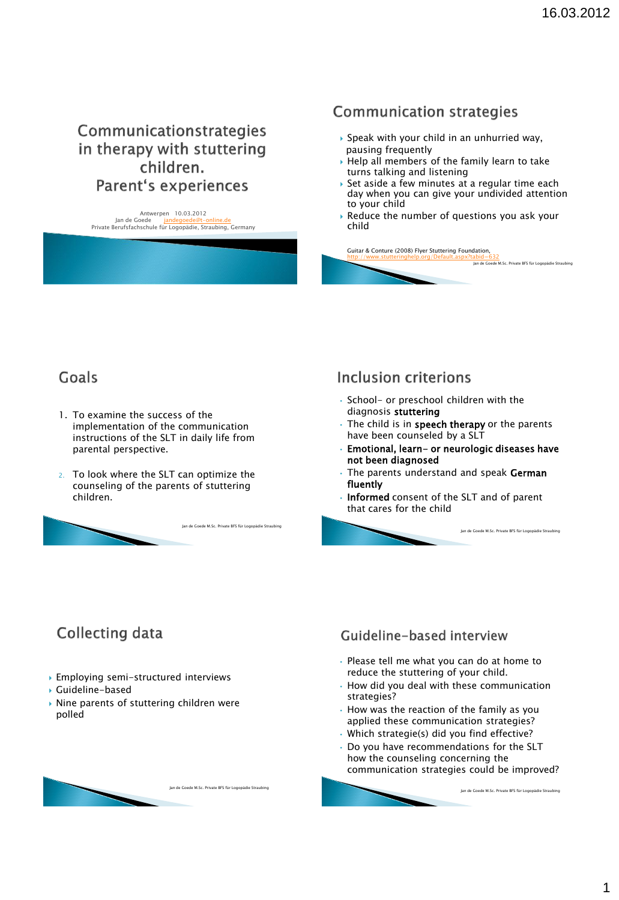## Communicationstrategies in therapy with stuttering children. **Parent's experiences**

Antwerpen 10.03.2012 Jan de Goede Private Berufsfachschule für Logopädie, Straubing, Germany

## **Communication strategies**

- ▶ Speak with your child in an unhurried way, pausing frequently
- $\rightarrow$  Help all members of the family learn to take turns talking and listening
- ▶ Set aside a few minutes at a regular time each day when you can give your undivided attention to your child
- Reduce the number of questions you ask your child

Jan de Goede M.Sc. Private BFS für Logopädie Straubing

Jan de Goede M.Sc. Private BFS für Logopädie Straubing

Jan de Goede M.Sc. Private BFS für Logopädie Straubing

Guitar & Conture (2008) Flyer Stuttering Foundation, <http://www.stutteringhelp.org/Default.aspx?tabid=632>

# Goals

- 1. To examine the success of the implementation of the communication instructions of the SLT in daily life from parental perspective.
- 2. To look where the SLT can optimize the counseling of the parents of stuttering children.

Jan de Goede M.Sc. Private BFS für Logopädie Straub

## **Inclusion criterions**

- School- or preschool children with the diagnosis stuttering
- The child is in speech therapy or the parents have been counseled by a SLT
- Emotional, learn- or neurologic diseases have not been diagnosed
- The parents understand and speak German fluently
- Informed consent of the SLT and of parent that cares for the child

# **Collecting data**

- Employing semi-structured interviews
- Guideline-based
- Nine parents of stuttering children were polled



#### Guideline-based interview

- Please tell me what you can do at home to reduce the stuttering of your child.
- How did you deal with these communication strategies?
- How was the reaction of the family as you applied these communication strategies?
- Which strategie(s) did you find effective?
- Do you have recommendations for the SLT how the counseling concerning the communication strategies could be improved?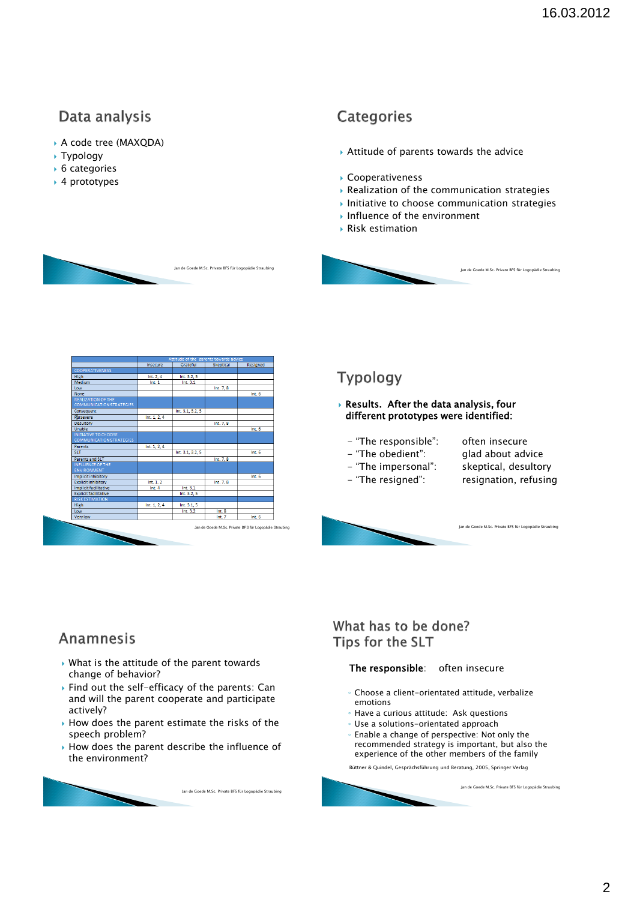# Data analysis

- A code tree (MAXQDA)
- Typology
- ▶ 6 categories
- ▶ 4 prototypes

## Categories

- Attitude of parents towards the advice
- Cooperativeness
- Realization of the communication strategies
- $\blacktriangleright$  Initiative to choose communication strategies
- Influence of the environment
- Risk estimation



|                                 | Insecure     | Grateful         | Skeptical                                              | Resigned |
|---------------------------------|--------------|------------------|--------------------------------------------------------|----------|
| <b>COOPERATIVENESS</b>          |              |                  |                                                        |          |
| <b>High</b>                     | Int. $2.4$   | Int. 3.2, 5      |                                                        |          |
| Medium                          | Int.1        | Int. 3.1         |                                                        |          |
| Low                             |              |                  | Int. 7, 8                                              |          |
| None                            |              |                  |                                                        | Int.6    |
| <b>REALIZATION OF THE</b>       |              |                  |                                                        |          |
| <b>COMMUNICATION STRATEGIES</b> |              |                  |                                                        |          |
| Consequent                      |              | Int. 3.1, 3.2, 5 |                                                        |          |
| Persevere                       | Int. 1, 2, 4 |                  |                                                        |          |
| Desultory                       |              |                  | Int. 7, 8                                              |          |
| Unable                          |              |                  |                                                        | Int.6    |
| <b>INITIATIVE TO CHOOSE</b>     |              |                  |                                                        |          |
| <b>COMMUNICATION STRATEGIES</b> |              |                  |                                                        |          |
| <b>Parents</b>                  | Int. 1, 2, 4 |                  |                                                        |          |
| SLT.                            |              | Int. 3.1, 3.2, 5 |                                                        | Int.6    |
| Parents and SLT                 |              |                  | Int. 7, 8                                              |          |
| <b>INFLUENCE OF THE</b>         |              |                  |                                                        |          |
| <b>ENVIRONMENT</b>              |              |                  |                                                        |          |
| Implicit inhibitory             |              |                  |                                                        | Int.6    |
| <b>Explicit inhibitory</b>      | Int. $1, 2$  |                  | Int. 7, 8                                              |          |
| Implicit facilitative           | Int.4        | Int. 3.1         |                                                        |          |
| <b>Explicit facilitative</b>    |              | Int. 3.2.5       |                                                        |          |
| <b>RISK ESTIMATION</b>          |              |                  |                                                        |          |
| High                            | Int. 1, 2, 4 | Int. 3.1.5       |                                                        |          |
| Low                             |              | Int. 3.2         | Int.8                                                  |          |
| <b>Very low</b>                 |              |                  | Int.7                                                  | Int.6    |
| ۰.                              |              |                  | Jan de Goede M.Sc. Private BFS für Logopädie Straubing |          |

## Typology

#### Results. After the data analysis, four different prototypes were identified:

- "The responsible": often insecure
- "The obedient": glad about advice
- 
- "The impersonal": skeptical, desultory - "The resigned": resignation, refusing
- 
- 

Jan de Goede M.Sc. Private BFS für Logopädie Straubing

Jan de Goede M.Sc. Private BFS für Logopädie Straubing

## Anamnesis

- What is the attitude of the parent towards change of behavior?
- ▶ Find out the self-efficacy of the parents: Can and will the parent cooperate and participate actively?
- $\rightarrow$  How does the parent estimate the risks of the speech problem?
- How does the parent describe the influence of the environment?

Jan de Goede M.Sc. Private BFS für Logopädie Straubing

## What has to be done? Tips for the SLT

#### The responsible: often insecure

- Choose a client-orientated attitude, verbalize emotions
- Have a curious attitude: Ask questions
- Use a solutions-orientated approach
- Enable a change of perspective: Not only the recommended strategy is important, but also the experience of the other members of the family

Büttner & Quindel, Gesprächsführung und Beratung, 2005, Springer Verlag